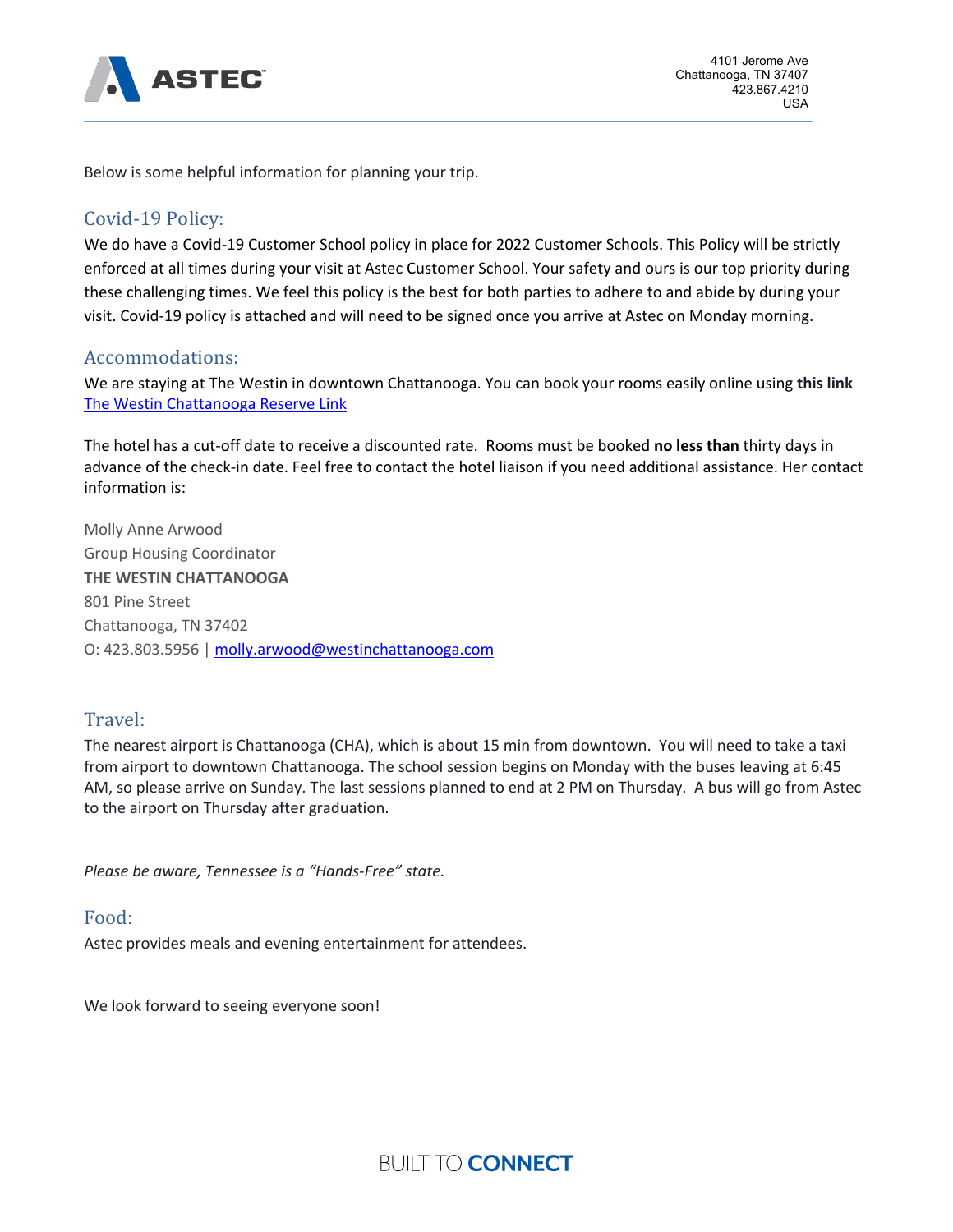

Below is some helpful information for planning your trip.

# Covid-19 Policy:

We do have a Covid-19 Customer School policy in place for 2022 Customer Schools. This Policy will be strictly enforced at all times during your visit at Astec Customer School. Your safety and ours is our top priority during these challenging times. We feel this policy is the best for both parties to adhere to and abide by during your visit. Covid-19 policy is attached and will need to be signed once you arrive at Astec on Monday morning.

#### Accommodations:

We are staying at The Westin in downtown Chattanooga. You can book your rooms easily online using **this link**  The Westin Chattanooga Reserve Link

The hotel has a cut-off date to receive a discounted rate. Rooms must be booked **no less than** thirty days in advance of the check-in date. Feel free to contact the hotel liaison if you need additional assistance. Her contact information is:

Molly Anne Arwood Group Housing Coordinator **THE WESTIN CHATTANOOGA** 801 Pine Street Chattanooga, TN 37402 O: 423.803.5956 | molly.arwood@westinchattanooga.com

### Travel:

The nearest airport is Chattanooga (CHA), which is about 15 min from downtown. You will need to take a taxi from airport to downtown Chattanooga. The school session begins on Monday with the buses leaving at 6:45 AM, so please arrive on Sunday. The last sessions planned to end at 2 PM on Thursday. A bus will go from Astec to the airport on Thursday after graduation.

*Please be aware, Tennessee is a "Hands-Free" state.*

### Food:

Astec provides meals and evening entertainment for attendees.

We look forward to seeing everyone soon!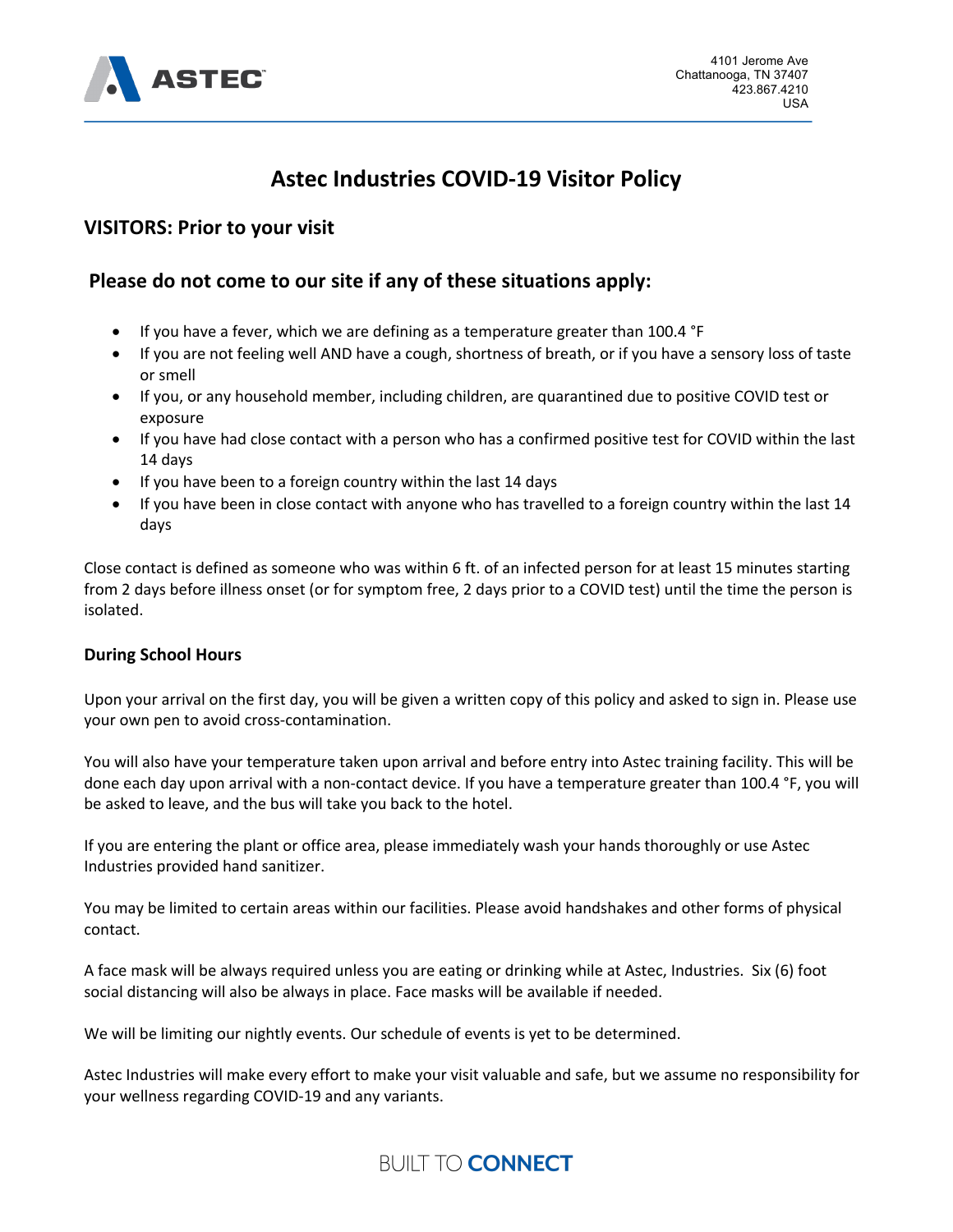

# **Astec Industries COVID-19 Visitor Policy**

# **VISITORS: Prior to your visit**

# **Please do not come to our site if any of these situations apply:**

- If you have a fever, which we are defining as a temperature greater than 100.4 °F
- If you are not feeling well AND have a cough, shortness of breath, or if you have a sensory loss of taste or smell
- If you, or any household member, including children, are quarantined due to positive COVID test or exposure
- If you have had close contact with a person who has a confirmed positive test for COVID within the last 14 days
- If you have been to a foreign country within the last 14 days
- If you have been in close contact with anyone who has travelled to a foreign country within the last 14 days

Close contact is defined as someone who was within 6 ft. of an infected person for at least 15 minutes starting from 2 days before illness onset (or for symptom free, 2 days prior to a COVID test) until the time the person is isolated.

#### **During School Hours**

Upon your arrival on the first day, you will be given a written copy of this policy and asked to sign in. Please use your own pen to avoid cross-contamination.

You will also have your temperature taken upon arrival and before entry into Astec training facility. This will be done each day upon arrival with a non-contact device. If you have a temperature greater than 100.4 °F, you will be asked to leave, and the bus will take you back to the hotel.

If you are entering the plant or office area, please immediately wash your hands thoroughly or use Astec Industries provided hand sanitizer.

You may be limited to certain areas within our facilities. Please avoid handshakes and other forms of physical contact.

A face mask will be always required unless you are eating or drinking while at Astec, Industries. Six (6) foot social distancing will also be always in place. Face masks will be available if needed.

We will be limiting our nightly events. Our schedule of events is yet to be determined.

Astec Industries will make every effort to make your visit valuable and safe, but we assume no responsibility for your wellness regarding COVID-19 and any variants.